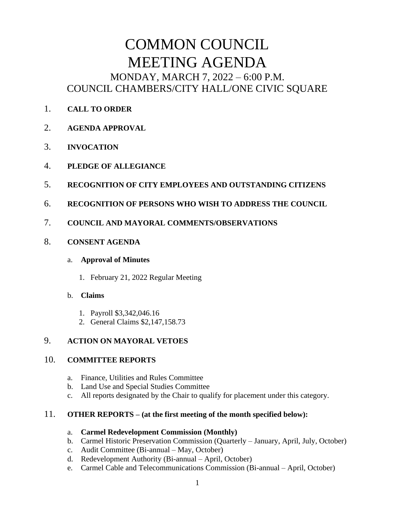# COMMON COUNCIL MEETING AGENDA MONDAY, MARCH 7, 2022 – 6:00 P.M. COUNCIL CHAMBERS/CITY HALL/ONE CIVIC SQUARE

- 1. **CALL TO ORDER**
- 2. **AGENDA APPROVAL**
- 3. **INVOCATION**
- 4. **PLEDGE OF ALLEGIANCE**
- 5. **RECOGNITION OF CITY EMPLOYEES AND OUTSTANDING CITIZENS**
- 6. **RECOGNITION OF PERSONS WHO WISH TO ADDRESS THE COUNCIL**
- 7. **COUNCIL AND MAYORAL COMMENTS/OBSERVATIONS**
- 8. **CONSENT AGENDA**

## a. **Approval of Minutes**

1. February 21, 2022 Regular Meeting

## b. **Claims**

- 1. Payroll \$3,342,046.16
- 2. General Claims \$2,147,158.73

# 9. **ACTION ON MAYORAL VETOES**

## 10. **COMMITTEE REPORTS**

- a. Finance, Utilities and Rules Committee
- b. Land Use and Special Studies Committee
- c. All reports designated by the Chair to qualify for placement under this category.

## 11. **OTHER REPORTS – (at the first meeting of the month specified below):**

## a. **Carmel Redevelopment Commission (Monthly)**

- b. Carmel Historic Preservation Commission (Quarterly January, April, July, October)
- c. Audit Committee (Bi-annual May, October)
- d. Redevelopment Authority (Bi-annual April, October)
- e. Carmel Cable and Telecommunications Commission (Bi-annual April, October)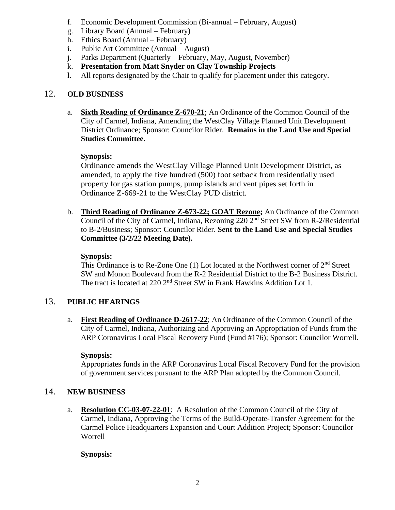- f. Economic Development Commission (Bi-annual February, August)
- g. Library Board (Annual February)
- h. Ethics Board (Annual February)
- i. Public Art Committee (Annual August)
- j. Parks Department (Quarterly February, May, August, November)
- k. **Presentation from Matt Snyder on Clay Township Projects**
- l. All reports designated by the Chair to qualify for placement under this category.

# 12. **OLD BUSINESS**

a. **Sixth Reading of Ordinance Z-670-21**; An Ordinance of the Common Council of the City of Carmel, Indiana, Amending the WestClay Village Planned Unit Development District Ordinance; Sponsor: Councilor Rider. **Remains in the Land Use and Special Studies Committee.**

## **Synopsis:**

Ordinance amends the WestClay Village Planned Unit Development District, as amended, to apply the five hundred (500) foot setback from residentially used property for gas station pumps, pump islands and vent pipes set forth in Ordinance Z-669-21 to the WestClay PUD district.

b. **Third Reading of Ordinance Z-673-22; GOAT Rezone;** An Ordinance of the Common Council of the City of Carmel, Indiana, Rezoning  $220 \, 2^{nd}$  Street SW from R-2/Residential to B-2/Business; Sponsor: Councilor Rider. **Sent to the Land Use and Special Studies Committee (3/2/22 Meeting Date).**

#### **Synopsis:**

This Ordinance is to Re-Zone One  $(1)$  Lot located at the Northwest corner of  $2<sup>nd</sup>$  Street SW and Monon Boulevard from the R-2 Residential District to the B-2 Business District. The tract is located at 220 2<sup>nd</sup> Street SW in Frank Hawkins Addition Lot 1.

## 13. **PUBLIC HEARINGS**

a. **First Reading of Ordinance D-2617-22**; An Ordinance of the Common Council of the City of Carmel, Indiana, Authorizing and Approving an Appropriation of Funds from the ARP Coronavirus Local Fiscal Recovery Fund (Fund #176); Sponsor: Councilor Worrell.

#### **Synopsis:**

Appropriates funds in the ARP Coronavirus Local Fiscal Recovery Fund for the provision of government services pursuant to the ARP Plan adopted by the Common Council.

## 14. **NEW BUSINESS**

a. **Resolution CC-03-07-22-01**: A Resolution of the Common Council of the City of Carmel, Indiana, Approving the Terms of the Build-Operate-Transfer Agreement for the Carmel Police Headquarters Expansion and Court Addition Project; Sponsor: Councilor Worrell

**Synopsis:**